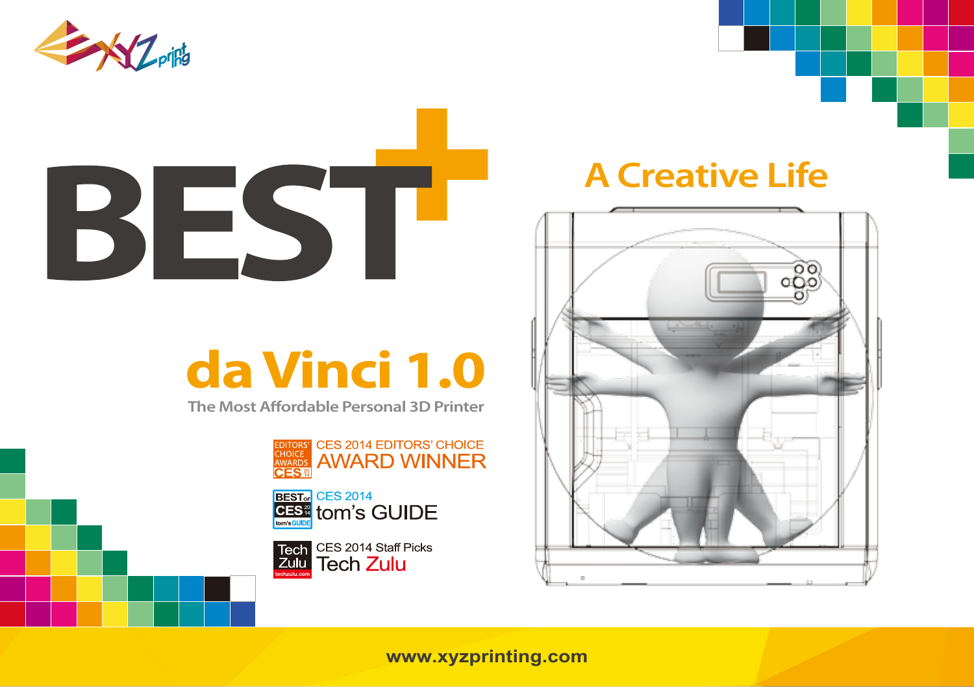

# BEST

## **da Vinci 1.0**

**The Most Affordable Personal 3D Printer** 





Tech CES 2014 Staff Picks zulu Tech Zulu

### **A Creative Life**



**www.xyzprinting.com**